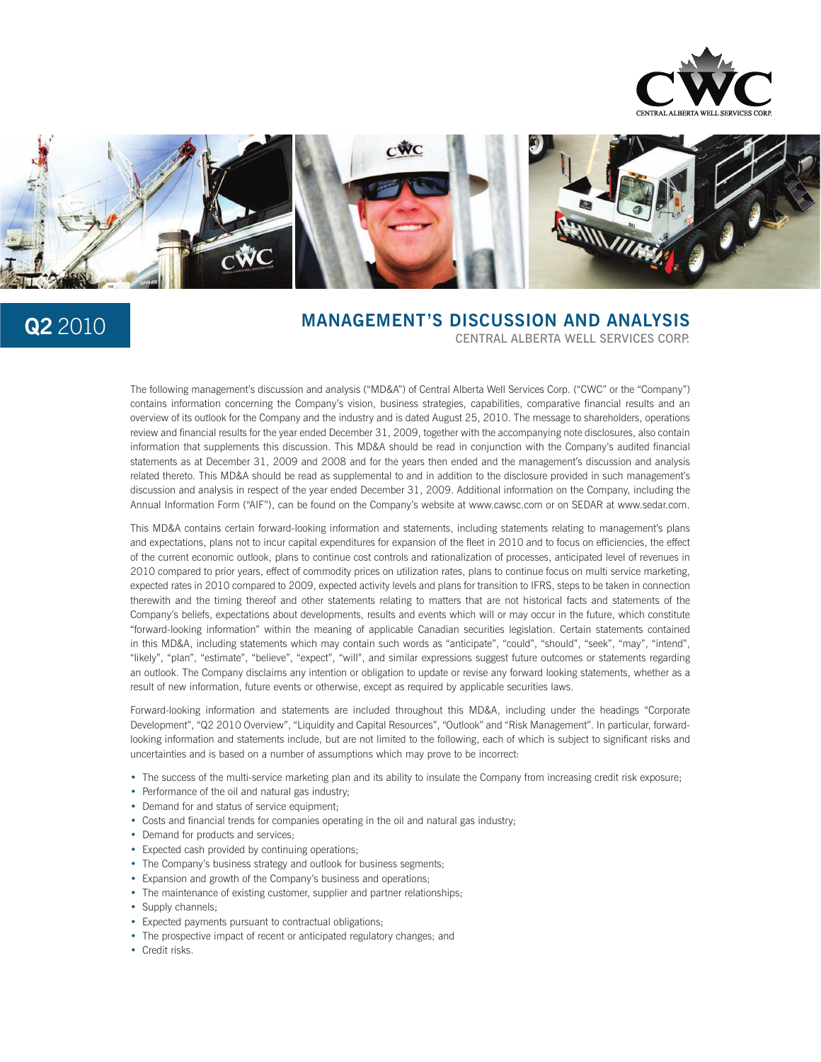



# **Q2** 2010 **MANAGEMENT'S DISCUSSION AND ANALYSIS**<br>CENTRAL ALBERTA WELL SERVICES CORP.

The following management's discussion and analysis ("MD&A") of Central Alberta Well Services Corp. ("CWC" or the "Company") contains information concerning the Company's vision, business strategies, capabilities, comparative financial results and an overview of its outlook for the Company and the industry and is dated August 25, 2010. The message to shareholders, operations review and financial results for the year ended December 31, 2009, together with the accompanying note disclosures, also contain information that supplements this discussion. This MD&A should be read in conjunction with the Company's audited financial statements as at December 31, 2009 and 2008 and for the years then ended and the management's discussion and analysis related thereto. This MD&A should be read as supplemental to and in addition to the disclosure provided in such management's discussion and analysis in respect of the year ended December 31, 2009. Additional information on the Company, including the Annual Information Form ("AIF"), can be found on the Company's website at www.cawsc.com or on SEDAR at www.sedar.com.

This MD&A contains certain forward-looking information and statements, including statements relating to management's plans and expectations, plans not to incur capital expenditures for expansion of the fleet in 2010 and to focus on efficiencies, the effect of the current economic outlook, plans to continue cost controls and rationalization of processes, anticipated level of revenues in 2010 compared to prior years, effect of commodity prices on utilization rates, plans to continue focus on multi service marketing, expected rates in 2010 compared to 2009, expected activity levels and plans for transition to IFRS, steps to be taken in connection therewith and the timing thereof and other statements relating to matters that are not historical facts and statements of the Company's beliefs, expectations about developments, results and events which will or may occur in the future, which constitute "forward-looking information" within the meaning of applicable Canadian securities legislation. Certain statements contained in this MD&A, including statements which may contain such words as "anticipate", "could", "should", "seek", "may", "intend", "likely", "plan", "estimate", "believe", "expect", "will", and similar expressions suggest future outcomes or statements regarding an outlook. The Company disclaims any intention or obligation to update or revise any forward looking statements, whether as a result of new information, future events or otherwise, except as required by applicable securities laws.

Forward-looking information and statements are included throughout this MD&A, including under the headings "Corporate Development", "Q2 2010 Overview", "Liquidity and Capital Resources", "Outlook" and "Risk Management". In particular, forwardlooking information and statements include, but are not limited to the following, each of which is subject to significant risks and uncertainties and is based on a number of assumptions which may prove to be incorrect:

- The success of the multi-service marketing plan and its ability to insulate the Company from increasing credit risk exposure;
- Performance of the oil and natural gas industry;
- Demand for and status of service equipment;
- Costs and financial trends for companies operating in the oil and natural gas industry;
- Demand for products and services;
- Expected cash provided by continuing operations;
- The Company's business strategy and outlook for business segments;
- Expansion and growth of the Company's business and operations;
- The maintenance of existing customer, supplier and partner relationships;
- Supply channels;
- Expected payments pursuant to contractual obligations;
- The prospective impact of recent or anticipated regulatory changes; and
- Credit risks.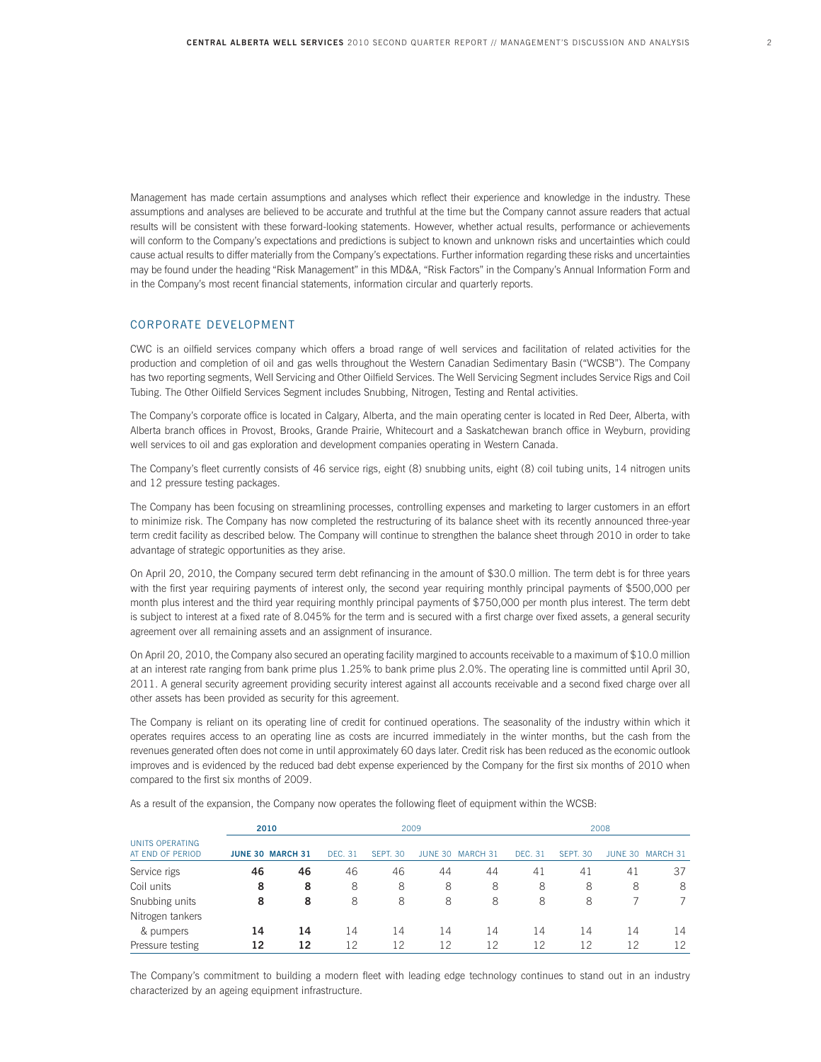Management has made certain assumptions and analyses which reflect their experience and knowledge in the industry. These assumptions and analyses are believed to be accurate and truthful at the time but the Company cannot assure readers that actual results will be consistent with these forward-looking statements. However, whether actual results, performance or achievements will conform to the Company's expectations and predictions is subject to known and unknown risks and uncertainties which could cause actual results to differ materially from the Company's expectations. Further information regarding these risks and uncertainties may be found under the heading "Risk Management" in this MD&A, "Risk Factors" in the Company's Annual Information Form and in the Company's most recent financial statements, information circular and quarterly reports.

# CORPORATE DEVELOPMENT

CWC is an oilfield services company which offers a broad range of well services and facilitation of related activities for the production and completion of oil and gas wells throughout the Western Canadian Sedimentary Basin ("WCSB"). The Company has two reporting segments, Well Servicing and Other Oilfield Services. The Well Servicing Segment includes Service Rigs and Coil Tubing. The Other Oilfield Services Segment includes Snubbing, Nitrogen, Testing and Rental activities.

The Company's corporate office is located in Calgary, Alberta, and the main operating center is located in Red Deer, Alberta, with Alberta branch offices in Provost, Brooks, Grande Prairie, Whitecourt and a Saskatchewan branch office in Weyburn, providing well services to oil and gas exploration and development companies operating in Western Canada.

The Company's fleet currently consists of 46 service rigs, eight (8) snubbing units, eight (8) coil tubing units, 14 nitrogen units and 12 pressure testing packages.

The Company has been focusing on streamlining processes, controlling expenses and marketing to larger customers in an effort to minimize risk. The Company has now completed the restructuring of its balance sheet with its recently announced three-year term credit facility as described below. The Company will continue to strengthen the balance sheet through 2010 in order to take advantage of strategic opportunities as they arise.

On April 20, 2010, the Company secured term debt refinancing in the amount of \$30.0 million. The term debt is for three years with the first year requiring payments of interest only, the second year requiring monthly principal payments of \$500,000 per month plus interest and the third year requiring monthly principal payments of \$750,000 per month plus interest. The term debt is subject to interest at a fixed rate of 8.045% for the term and is secured with a first charge over fixed assets, a general security agreement over all remaining assets and an assignment of insurance.

On April 20, 2010, the Company also secured an operating facility margined to accounts receivable to a maximum of \$10.0 million at an interest rate ranging from bank prime plus 1.25% to bank prime plus 2.0%. The operating line is committed until April 30, 2011. A general security agreement providing security interest against all accounts receivable and a second fixed charge over all other assets has been provided as security for this agreement.

The Company is reliant on its operating line of credit for continued operations. The seasonality of the industry within which it operates requires access to an operating line as costs are incurred immediately in the winter months, but the cash from the revenues generated often does not come in until approximately 60 days later. Credit risk has been reduced as the economic outlook improves and is evidenced by the reduced bad debt expense experienced by the Company for the first six months of 2010 when compared to the first six months of 2009.

As a result of the expansion, the Company now operates the following fleet of equipment within the WCSB:

|                                            |    | 2010                    |                |                    | 2009 |                  |         | 2008               |         |          |  |  |  |
|--------------------------------------------|----|-------------------------|----------------|--------------------|------|------------------|---------|--------------------|---------|----------|--|--|--|
| <b>UNITS OPFRATING</b><br>AT END OF PERIOD |    | <b>JUNE 30 MARCH 31</b> | <b>DEC. 31</b> | SFPT <sub>30</sub> |      | JUNE 30 MARCH 31 | DFC. 31 | SFPT <sub>30</sub> | JUNE 30 | MARCH 31 |  |  |  |
| Service rigs                               | 46 | 46                      | 46             | 46                 | 44   | 44               | 41      | 41                 | -41     | 37       |  |  |  |
| Coil units                                 | 8  | 8                       | 8              | 8                  | 8    | 8                | 8       | 8                  | 8       | 8        |  |  |  |
| Snubbing units                             | 8  | 8                       | 8              | 8                  | 8    | 8                | 8       | 8                  |         |          |  |  |  |
| Nitrogen tankers                           |    |                         |                |                    |      |                  |         |                    |         |          |  |  |  |
| & pumpers                                  | 14 | 14                      | 14             | 14                 | 14   | 14               | 14      | 14                 | 14      | 14       |  |  |  |
| Pressure testing                           | 12 | 12                      | 12             | 12                 | 12   | 12               | 12      | 12                 | 12      | 12       |  |  |  |

The Company's commitment to building a modern fleet with leading edge technology continues to stand out in an industry characterized by an ageing equipment infrastructure.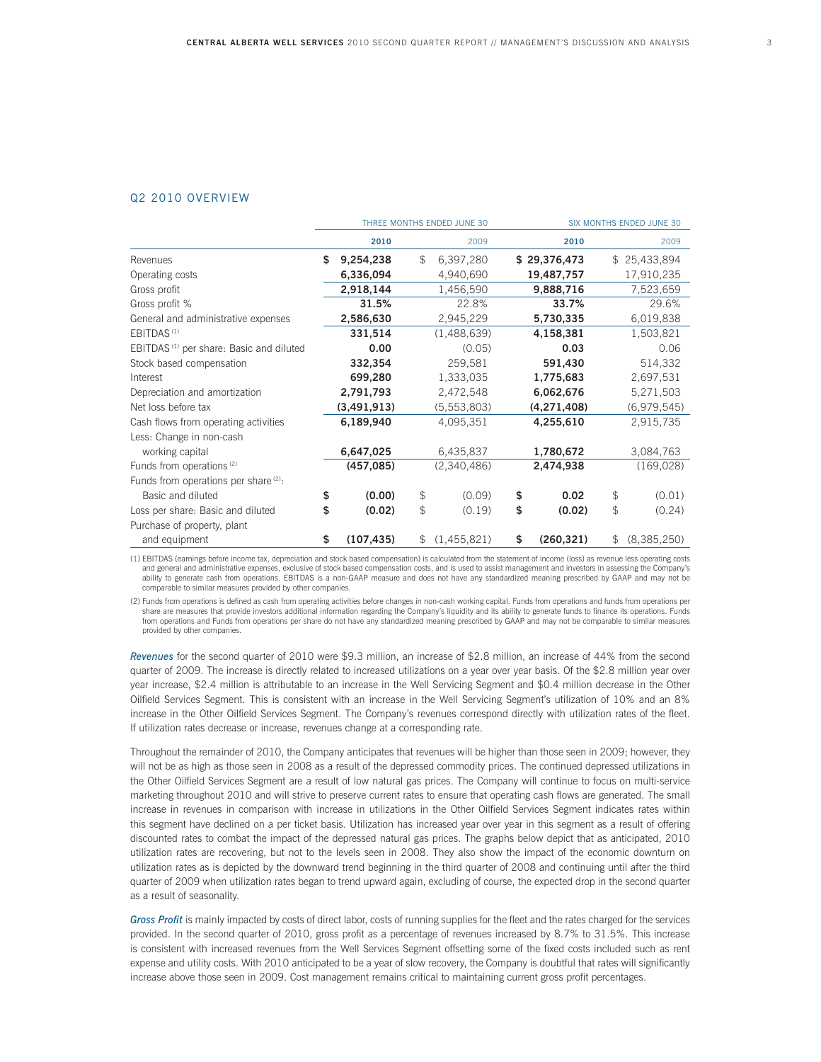### Q2 2010 OVERVIEW

|                                                     | THREE MONTHS ENDED JUNE 30 |             |    |             |    | <b>SIX MONTHS ENDED JUNE 30</b> |                |             |  |  |
|-----------------------------------------------------|----------------------------|-------------|----|-------------|----|---------------------------------|----------------|-------------|--|--|
|                                                     |                            | 2010        |    | 2009        |    | 2010                            |                | 2009        |  |  |
| Revenues                                            | \$                         | 9,254,238   | \$ | 6,397,280   |    | \$29,376,473                    | $\mathbb{S}^-$ | 25,433,894  |  |  |
| Operating costs                                     |                            | 6,336,094   |    | 4,940,690   |    | 19,487,757                      |                | 17,910,235  |  |  |
| Gross profit                                        |                            | 2,918,144   |    | 1,456,590   |    | 9,888,716                       |                | 7,523,659   |  |  |
| Gross profit %                                      |                            | 31.5%       |    | 22.8%       |    | 33.7%                           |                | 29.6%       |  |  |
| General and administrative expenses                 |                            | 2,586,630   |    | 2,945,229   |    | 5,730,335                       |                | 6,019,838   |  |  |
| EBITDAS <sup>(1)</sup>                              |                            | 331,514     |    | (1,488,639) |    | 4,158,381                       |                | 1,503,821   |  |  |
| EBITDAS <sup>(1)</sup> per share: Basic and diluted |                            | 0.00        |    | (0.05)      |    | 0.03                            |                | 0.06        |  |  |
| Stock based compensation                            |                            | 332,354     |    | 259,581     |    | 591,430                         |                | 514,332     |  |  |
| Interest                                            |                            | 699,280     |    | 1,333,035   |    | 1,775,683                       |                | 2,697,531   |  |  |
| Depreciation and amortization                       |                            | 2,791,793   |    | 2,472,548   |    | 6,062,676                       |                | 5,271,503   |  |  |
| Net loss before tax                                 |                            | (3,491,913) |    | (5,553,803) |    | (4, 271, 408)                   |                | (6,979,545) |  |  |
| Cash flows from operating activities                |                            | 6,189,940   |    | 4,095,351   |    | 4,255,610                       |                | 2,915,735   |  |  |
| Less: Change in non-cash                            |                            |             |    |             |    |                                 |                |             |  |  |
| working capital                                     |                            | 6,647,025   |    | 6,435,837   |    | 1,780,672                       |                | 3,084,763   |  |  |
| Funds from operations <sup>(2)</sup>                |                            | (457,085)   |    | (2,340,486) |    | 2,474,938                       |                | (169,028)   |  |  |
| Funds from operations per share <sup>(2)</sup> :    |                            |             |    |             |    |                                 |                |             |  |  |
| Basic and diluted                                   | \$                         | (0.00)      | \$ | (0.09)      | \$ | 0.02                            | \$             | (0.01)      |  |  |
| Loss per share: Basic and diluted                   | \$                         | (0.02)      | \$ | (0.19)      | \$ | (0.02)                          | \$             | (0.24)      |  |  |
| Purchase of property, plant                         |                            |             |    |             |    |                                 |                |             |  |  |
| and equipment                                       | \$                         | (107, 435)  | \$ | (1,455,821) | \$ | (260, 321)                      | \$             | (8,385,250) |  |  |

(1) EBITDAS (earnings before income tax, depreciation and stock based compensation) is calculated from the statement of income (loss) as revenue less operating costs and general and administrative expenses, exclusive of stock based compensation costs, and is used to assist management and investors in assessing the Company's ability to generate cash from operations. EBITDAS is a non-GAAP measure and does not have any standardized meaning prescribed by GAAP and may not be comparable to similar measures provided by other companies.

(2) Funds from operations is defined as cash from operating activities before changes in non-cash working capital. Funds from operations and funds from operations per share are measures that provide investors additional information regarding the Company's liquidity and its ability to generate funds to finance its operations. Funds from operations and Funds from operations per share do not have any standardized meaning prescribed by GAAP and may not be comparable to similar measures provided by other companies.

*Revenues* for the second quarter of 2010 were \$9.3 million, an increase of \$2.8 million, an increase of 44% from the second quarter of 2009. The increase is directly related to increased utilizations on a year over year basis. Of the \$2.8 million year over year increase, \$2.4 million is attributable to an increase in the Well Servicing Segment and \$0.4 million decrease in the Other Oilfield Services Segment. This is consistent with an increase in the Well Servicing Segment's utilization of 10% and an 8% increase in the Other Oilfield Services Segment. The Company's revenues correspond directly with utilization rates of the fleet. If utilization rates decrease or increase, revenues change at a corresponding rate.

Throughout the remainder of 2010, the Company anticipates that revenues will be higher than those seen in 2009; however, they will not be as high as those seen in 2008 as a result of the depressed commodity prices. The continued depressed utilizations in the Other Oilfield Services Segment are a result of low natural gas prices. The Company will continue to focus on multi-service marketing throughout 2010 and will strive to preserve current rates to ensure that operating cash flows are generated. The small increase in revenues in comparison with increase in utilizations in the Other Oilfield Services Segment indicates rates within this segment have declined on a per ticket basis. Utilization has increased year over year in this segment as a result of offering discounted rates to combat the impact of the depressed natural gas prices. The graphs below depict that as anticipated, 2010 utilization rates are recovering, but not to the levels seen in 2008. They also show the impact of the economic downturn on utilization rates as is depicted by the downward trend beginning in the third quarter of 2008 and continuing until after the third quarter of 2009 when utilization rates began to trend upward again, excluding of course, the expected drop in the second quarter as a result of seasonality.

Gross Profit is mainly impacted by costs of direct labor, costs of running supplies for the fleet and the rates charged for the services provided. In the second quarter of 2010, gross profit as a percentage of revenues increased by 8.7% to 31.5%. This increase is consistent with increased revenues from the Well Services Segment offsetting some of the fixed costs included such as rent expense and utility costs. With 2010 anticipated to be a year of slow recovery, the Company is doubtful that rates will significantly increase above those seen in 2009. Cost management remains critical to maintaining current gross profit percentages.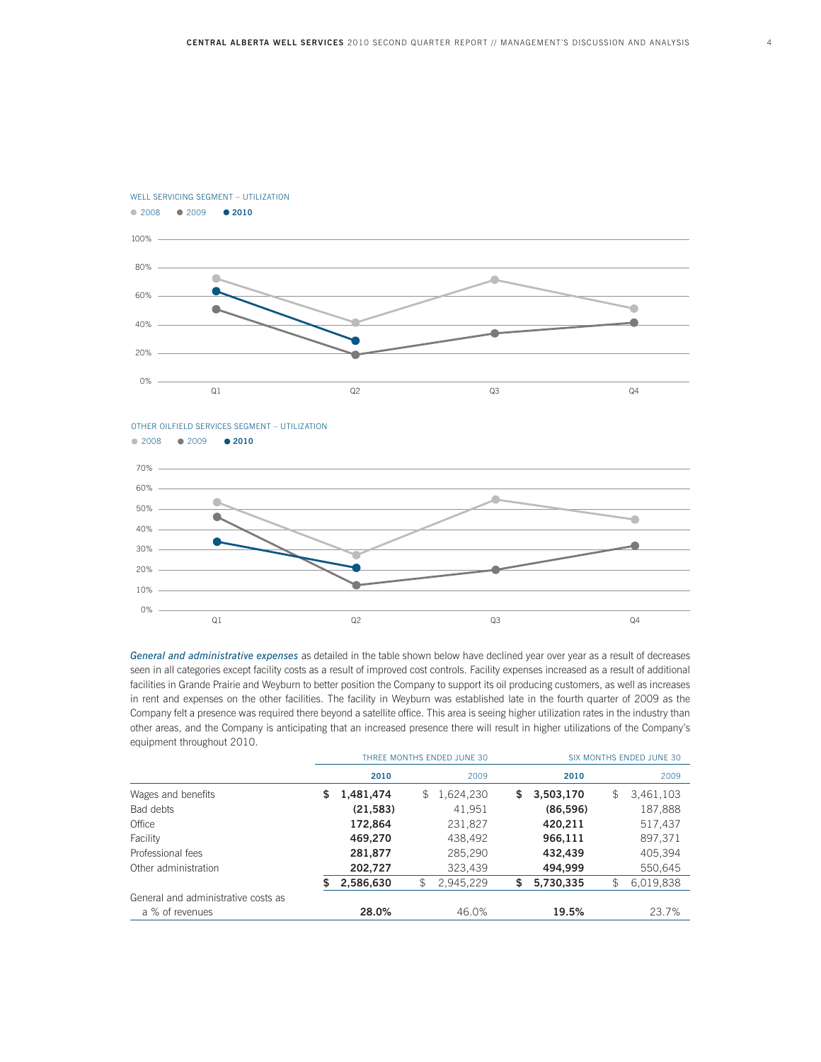

WELL SERVICING SEGMENT – UTILIZATION 2008 2009 **2010**



*General and administrative expenses* as detailed in the table shown below have declined year over year as a result of decreases seen in all categories except facility costs as a result of improved cost controls. Facility expenses increased as a result of additional facilities in Grande Prairie and Weyburn to better position the Company to support its oil producing customers, as well as increases in rent and expenses on the other facilities. The facility in Weyburn was established late in the fourth quarter of 2009 as the Company felt a presence was required there beyond a satellite office. This area is seeing higher utilization rates in the industry than other areas, and the Company is anticipating that an increased presence there will result in higher utilizations of the Company's equipment throughout 2010.

|                                     |    |           | THREE MONTHS ENDED JUNE 30 | SIX MONTHS ENDED JUNE 30 |    |           |    |           |  |
|-------------------------------------|----|-----------|----------------------------|--------------------------|----|-----------|----|-----------|--|
|                                     |    | 2010      |                            | 2009                     |    | 2010      |    | 2009      |  |
| Wages and benefits                  | \$ | 1,481,474 | \$                         | 1,624,230                | S. | 3,503,170 | \$ | 3,461,103 |  |
| Bad debts                           |    | (21, 583) |                            | 41,951                   |    | (86,596)  |    | 187,888   |  |
| Office                              |    | 172,864   |                            | 231,827                  |    | 420,211   |    | 517,437   |  |
| Facility                            |    | 469,270   |                            | 438,492                  |    | 966,111   |    | 897,371   |  |
| Professional fees                   |    | 281,877   |                            | 285,290                  |    | 432,439   |    | 405.394   |  |
| Other administration                |    | 202,727   |                            | 323,439                  |    | 494,999   |    | 550,645   |  |
|                                     | S  | 2,586,630 | \$                         | 2,945,229                | \$ | 5,730,335 | \$ | 6,019,838 |  |
| General and administrative costs as |    |           |                            |                          |    |           |    |           |  |
| a % of revenues                     |    | 28.0%     |                            | 46.0%                    |    | 19.5%     |    | 23.7%     |  |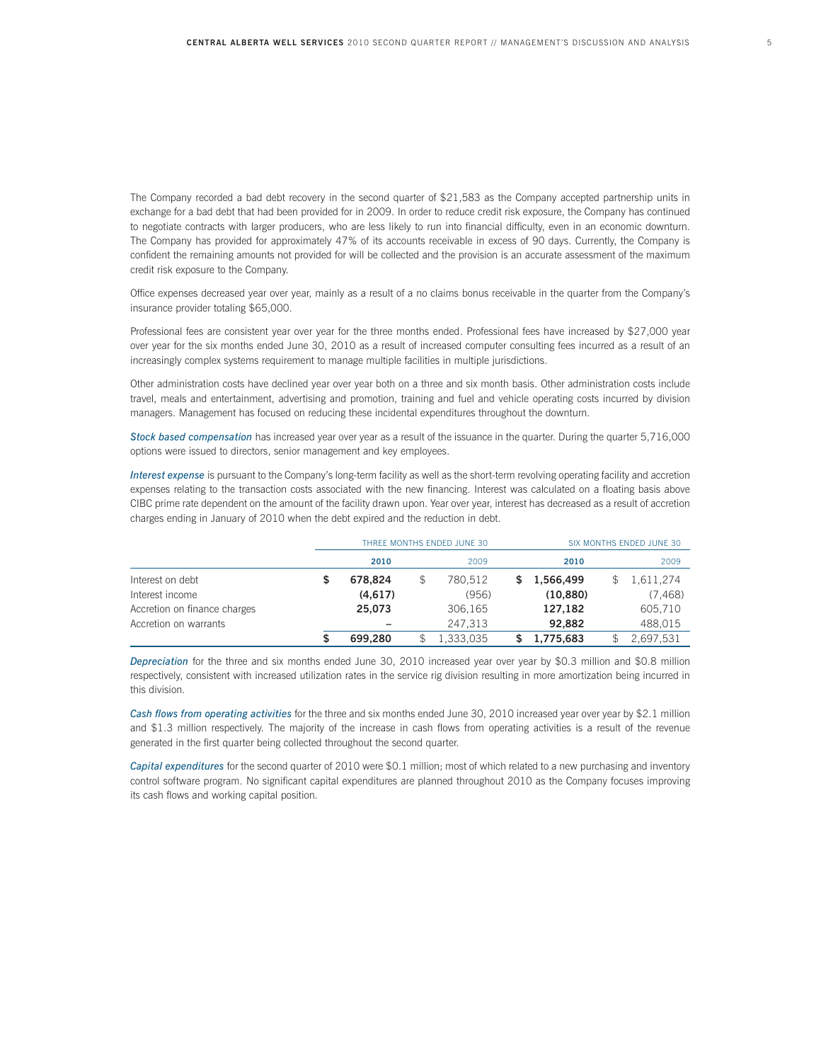The Company recorded a bad debt recovery in the second quarter of \$21,583 as the Company accepted partnership units in exchange for a bad debt that had been provided for in 2009. In order to reduce credit risk exposure, the Company has continued to negotiate contracts with larger producers, who are less likely to run into financial difficulty, even in an economic downturn. The Company has provided for approximately 47% of its accounts receivable in excess of 90 days. Currently, the Company is confident the remaining amounts not provided for will be collected and the provision is an accurate assessment of the maximum credit risk exposure to the Company.

Office expenses decreased year over year, mainly as a result of a no claims bonus receivable in the quarter from the Company's insurance provider totaling \$65,000.

Professional fees are consistent year over year for the three months ended. Professional fees have increased by \$27,000 year over year for the six months ended June 30, 2010 as a result of increased computer consulting fees incurred as a result of an increasingly complex systems requirement to manage multiple facilities in multiple jurisdictions.

Other administration costs have declined year over year both on a three and six month basis. Other administration costs include travel, meals and entertainment, advertising and promotion, training and fuel and vehicle operating costs incurred by division managers. Management has focused on reducing these incidental expenditures throughout the downturn.

*Stock based compensation* has increased year over year as a result of the issuance in the quarter. During the quarter 5,716,000 options were issued to directors, senior management and key employees.

*Interest expense* is pursuant to the Company's long-term facility as well as the short-term revolving operating facility and accretion expenses relating to the transaction costs associated with the new financing. Interest was calculated on a floating basis above CIBC prime rate dependent on the amount of the facility drawn upon. Year over year, interest has decreased as a result of accretion charges ending in January of 2010 when the debt expired and the reduction in debt.

|                              |   |         | THREE MONTHS ENDED JUNE 30 | SIX MONTHS ENDED JUNE 30 |    |           |  |           |
|------------------------------|---|---------|----------------------------|--------------------------|----|-----------|--|-----------|
|                              |   | 2010    |                            | 2009                     |    | 2010      |  | 2009      |
| Interest on debt             | S | 678.824 |                            | 780.512                  | S. | 1.566.499 |  | 1,611,274 |
| Interest income              |   | (4,617) |                            | (956)                    |    | (10, 880) |  | (7, 468)  |
| Accretion on finance charges |   | 25.073  |                            | 306.165                  |    | 127.182   |  | 605,710   |
| Accretion on warrants        |   |         |                            | 247.313                  |    | 92.882    |  | 488,015   |
|                              | S | 699.280 |                            | 1,333,035                |    | 1,775,683 |  | 2,697,531 |

*Depreciation* for the three and six months ended June 30, 2010 increased year over year by \$0.3 million and \$0.8 million respectively, consistent with increased utilization rates in the service rig division resulting in more amortization being incurred in this division.

*Cash flows from operating activities* for the three and six months ended June 30, 2010 increased year over year by \$2.1 million and \$1.3 million respectively. The majority of the increase in cash flows from operating activities is a result of the revenue generated in the first quarter being collected throughout the second quarter.

*Capital expenditures* for the second quarter of 2010 were \$0.1 million; most of which related to a new purchasing and inventory control software program. No significant capital expenditures are planned throughout 2010 as the Company focuses improving its cash flows and working capital position.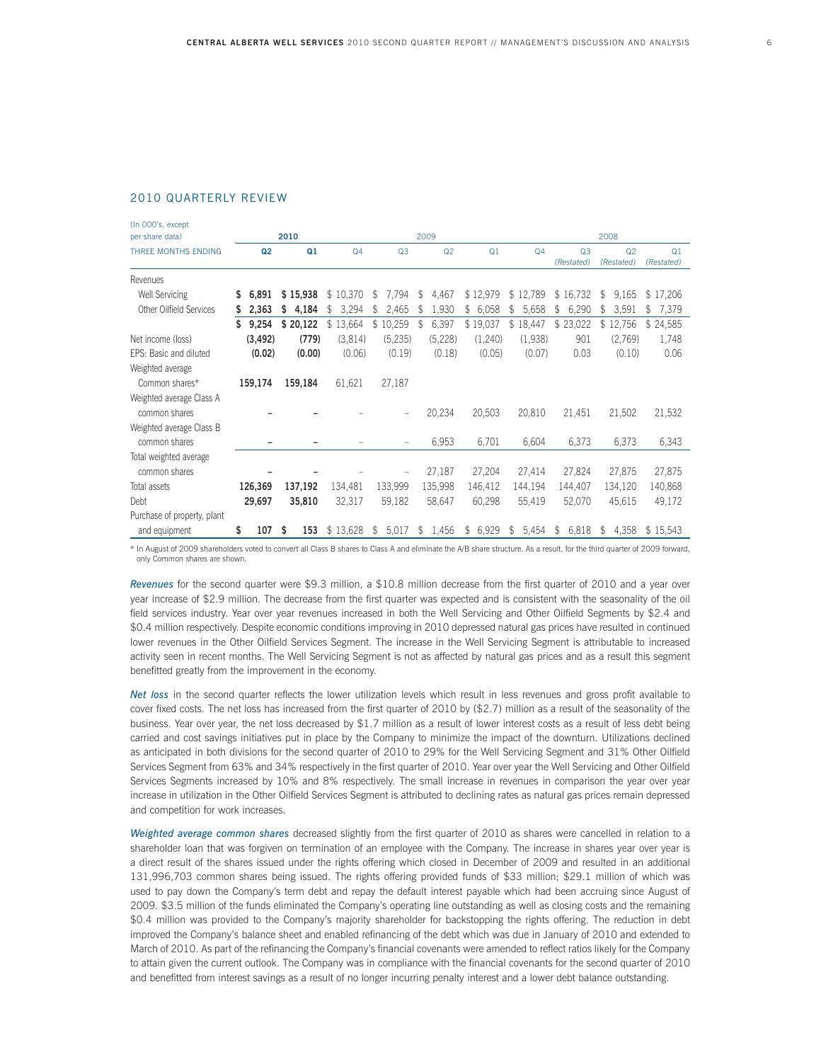## 2010 QUARTERLY REVIEW

| (In 000's, except              |    |                |      |          |                |              |                |                |                |                |    |                              |              |                              |                              |  |
|--------------------------------|----|----------------|------|----------|----------------|--------------|----------------|----------------|----------------|----------------|----|------------------------------|--------------|------------------------------|------------------------------|--|
| per share data)                |    |                | 2010 |          |                |              |                | 2009           |                | 2008           |    |                              |              |                              |                              |  |
| THREE MONTHS ENDING            |    | Q <sub>2</sub> |      | Q1       | Q <sub>4</sub> |              | Q <sub>3</sub> | Q <sub>2</sub> | Q <sub>1</sub> | Q <sub>4</sub> |    | Q <sub>3</sub><br>(Restated) |              | Q <sub>2</sub><br>(Restated) | Q <sub>1</sub><br>(Restated) |  |
| Revenues                       |    |                |      |          |                |              |                |                |                |                |    |                              |              |                              |                              |  |
| <b>Well Servicing</b>          | S  | 6.891          |      | \$15,938 | \$10,370       | $\mathbb{S}$ | 7.794          | \$<br>4,467    | \$12,979       | \$12,789       |    | \$16,732                     | $\mathbb{S}$ | 9,165                        | \$17,206                     |  |
| <b>Other Oilfield Services</b> | S  | 2,363          | \$   | 4,184    | 3,294<br>\$    | \$           | 2,465          | \$<br>1,930    | \$<br>6,058    | \$<br>5,658    | \$ | 6,290                        | \$           | 3,591                        | 7,379<br>\$                  |  |
|                                | \$ | 9,254          |      | \$20,122 | \$13,664       |              | \$10,259       | \$<br>6,397    | \$19,037       | \$18,447       |    | \$23,022                     |              | \$12,756                     | \$24,585                     |  |
| Net income (loss)              |    | (3, 492)       |      | (779)    | (3,814)        |              | (5,235)        | (5,228)        | (1,240)        | (1,938)        |    | 901                          |              | (2,769)                      | 1,748                        |  |
| EPS: Basic and diluted         |    | (0.02)         |      | (0.00)   | (0.06)         |              | (0.19)         | (0.18)         | (0.05)         | (0.07)         |    | 0.03                         |              | (0.10)                       | 0.06                         |  |
| Weighted average               |    |                |      |          |                |              |                |                |                |                |    |                              |              |                              |                              |  |
| Common shares*                 |    | 159,174        |      | 159,184  | 61,621         |              | 27,187         |                |                |                |    |                              |              |                              |                              |  |
| Weighted average Class A       |    |                |      |          |                |              |                |                |                |                |    |                              |              |                              |                              |  |
| common shares                  |    |                |      |          |                |              |                | 20,234         | 20,503         | 20,810         |    | 21,451                       |              | 21,502                       | 21,532                       |  |
| Weighted average Class B       |    |                |      |          |                |              |                |                |                |                |    |                              |              |                              |                              |  |
| common shares                  |    |                |      |          |                |              |                | 6,953          | 6,701          | 6,604          |    | 6,373                        |              | 6,373                        | 6,343                        |  |
| Total weighted average         |    |                |      |          |                |              |                |                |                |                |    |                              |              |                              |                              |  |
| common shares                  |    |                |      |          |                |              |                | 27,187         | 27,204         | 27,414         |    | 27,824                       |              | 27,875                       | 27,875                       |  |
| Total assets                   |    | 126,369        |      | 137,192  | 134,481        |              | 133,999        | 135,998        | 146,412        | 144,194        |    | 144,407                      |              | 134,120                      | 140,868                      |  |
| Debt                           |    | 29,697         |      | 35,810   | 32,317         |              | 59,182         | 58,647         | 60,298         | 55,419         |    | 52,070                       |              | 45,615                       | 49,172                       |  |
| Purchase of property, plant    |    |                |      |          |                |              |                |                |                |                |    |                              |              |                              |                              |  |
| and equipment                  | \$ | 107            | S    | 153      | \$13,628       | S            | 5,017          | \$<br>1,456    | 6,929<br>\$    | \$<br>5,454    | \$ | 6,818                        | s.           | 4.358                        | \$15.543                     |  |

\* In August of 2009 shareholders voted to convert all Class B shares to Class A and eliminate the A/B share structure. As a result, for the third quarter of 2009 forward, only Common shares are shown.

*Revenues* for the second quarter were \$9.3 million, a \$10.8 million decrease from the first quarter of 2010 and a year over year increase of \$2.9 million. The decrease from the first quarter was expected and is consistent with the seasonality of the oil field services industry. Year over year revenues increased in both the Well Servicing and Other Oilfield Segments by \$2.4 and \$0.4 million respectively. Despite economic conditions improving in 2010 depressed natural gas prices have resulted in continued lower revenues in the Other Oilfield Services Segment. The increase in the Well Servicing Segment is attributable to increased activity seen in recent months. The Well Servicing Segment is not as affected by natural gas prices and as a result this segment benefitted greatly from the improvement in the economy.

*Net loss* in the second quarter reflects the lower utilization levels which result in less revenues and gross profit available to cover fixed costs. The net loss has increased from the first quarter of 2010 by (\$2.7) million as a result of the seasonality of the business. Year over year, the net loss decreased by \$1.7 million as a result of lower interest costs as a result of less debt being carried and cost savings initiatives put in place by the Company to minimize the impact of the downturn. Utilizations declined as anticipated in both divisions for the second quarter of 2010 to 29% for the Well Servicing Segment and 31% Other Oilfield Services Segment from 63% and 34% respectively in the first quarter of 2010. Year over year the Well Servicing and Other Oilfield Services Segments increased by 10% and 8% respectively. The small increase in revenues in comparison the year over year increase in utilization in the Other Oilfield Services Segment is attributed to declining rates as natural gas prices remain depressed and competition for work increases.

*Weighted average common shares* decreased slightly from the first quarter of 2010 as shares were cancelled in relation to a shareholder loan that was forgiven on termination of an employee with the Company. The increase in shares year over year is a direct result of the shares issued under the rights offering which closed in December of 2009 and resulted in an additional 131,996,703 common shares being issued. The rights offering provided funds of \$33 million; \$29.1 million of which was used to pay down the Company's term debt and repay the default interest payable which had been accruing since August of 2009. \$3.5 million of the funds eliminated the Company's operating line outstanding as well as closing costs and the remaining \$0.4 million was provided to the Company's majority shareholder for backstopping the rights offering. The reduction in debt improved the Company's balance sheet and enabled refinancing of the debt which was due in January of 2010 and extended to March of 2010. As part of the refinancing the Company's financial covenants were amended to reflect ratios likely for the Company to attain given the current outlook. The Company was in compliance with the financial covenants for the second quarter of 2010 and benefitted from interest savings as a result of no longer incurring penalty interest and a lower debt balance outstanding.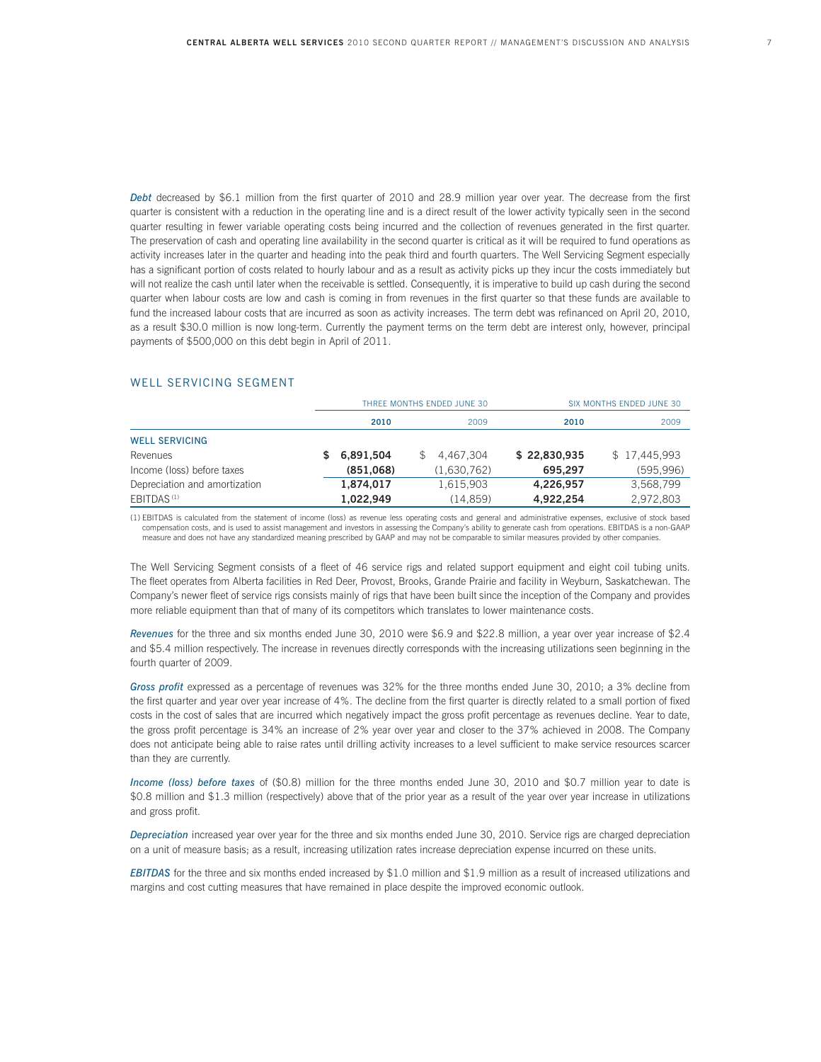*Debt* decreased by \$6.1 million from the first quarter of 2010 and 28.9 million year over year. The decrease from the first quarter is consistent with a reduction in the operating line and is a direct result of the lower activity typically seen in the second quarter resulting in fewer variable operating costs being incurred and the collection of revenues generated in the first quarter. The preservation of cash and operating line availability in the second quarter is critical as it will be required to fund operations as activity increases later in the quarter and heading into the peak third and fourth quarters. The Well Servicing Segment especially has a significant portion of costs related to hourly labour and as a result as activity picks up they incur the costs immediately but will not realize the cash until later when the receivable is settled. Consequently, it is imperative to build up cash during the second quarter when labour costs are low and cash is coming in from revenues in the first quarter so that these funds are available to fund the increased labour costs that are incurred as soon as activity increases. The term debt was refinanced on April 20, 2010, as a result \$30.0 million is now long-term. Currently the payment terms on the term debt are interest only, however, principal payments of \$500,000 on this debt begin in April of 2011.

#### WELL SERVICING SEGMENT

|                               |           | THREE MONTHS ENDED JUNE 30 | SIX MONTHS ENDED JUNE 30 |              |  |  |  |
|-------------------------------|-----------|----------------------------|--------------------------|--------------|--|--|--|
|                               | 2010      | 2009                       | 2010                     | 2009         |  |  |  |
| <b>WELL SERVICING</b>         |           |                            |                          |              |  |  |  |
| Revenues                      | 6,891,504 | 4.467.304                  | \$22,830,935             | \$17,445,993 |  |  |  |
| Income (loss) before taxes    | (851,068) | (1,630,762)                | 695.297                  | (595, 996)   |  |  |  |
| Depreciation and amortization | 1,874,017 | 1,615,903                  | 4,226,957                | 3,568,799    |  |  |  |
| EBITDAS <sup>(1)</sup>        | 1,022,949 | (14, 859)                  | 4,922,254                | 2,972,803    |  |  |  |

(1) EBITDAS is calculated from the statement of income (loss) as revenue less operating costs and general and administrative expenses, exclusive of stock based compensation costs, and is used to assist management and investors in assessing the Company's ability to generate cash from operations. EBITDAS is a non-GAAP measure and does not have any standardized meaning prescribed by GAAP and may not be comparable to similar measures provided by other companies.

The Well Servicing Segment consists of a fleet of 46 service rigs and related support equipment and eight coil tubing units. The fleet operates from Alberta facilities in Red Deer, Provost, Brooks, Grande Prairie and facility in Weyburn, Saskatchewan. The Company's newer fleet of service rigs consists mainly of rigs that have been built since the inception of the Company and provides more reliable equipment than that of many of its competitors which translates to lower maintenance costs.

*Revenues* for the three and six months ended June 30, 2010 were \$6.9 and \$22.8 million, a year over year increase of \$2.4 and \$5.4 million respectively. The increase in revenues directly corresponds with the increasing utilizations seen beginning in the fourth quarter of 2009.

*Gross profit* expressed as a percentage of revenues was 32% for the three months ended June 30, 2010; a 3% decline from the first quarter and year over year increase of 4%. The decline from the first quarter is directly related to a small portion of fixed costs in the cost of sales that are incurred which negatively impact the gross profit percentage as revenues decline. Year to date, the gross profit percentage is 34% an increase of 2% year over year and closer to the 37% achieved in 2008. The Company does not anticipate being able to raise rates until drilling activity increases to a level sufficient to make service resources scarcer than they are currently.

*Income (loss) before taxes* of (\$0.8) million for the three months ended June 30, 2010 and \$0.7 million year to date is \$0.8 million and \$1.3 million (respectively) above that of the prior year as a result of the year over year increase in utilizations and gross profit.

*Depreciation* increased year over year for the three and six months ended June 30, 2010. Service rigs are charged depreciation on a unit of measure basis; as a result, increasing utilization rates increase depreciation expense incurred on these units.

*EBITDAS* for the three and six months ended increased by \$1.0 million and \$1.9 million as a result of increased utilizations and margins and cost cutting measures that have remained in place despite the improved economic outlook.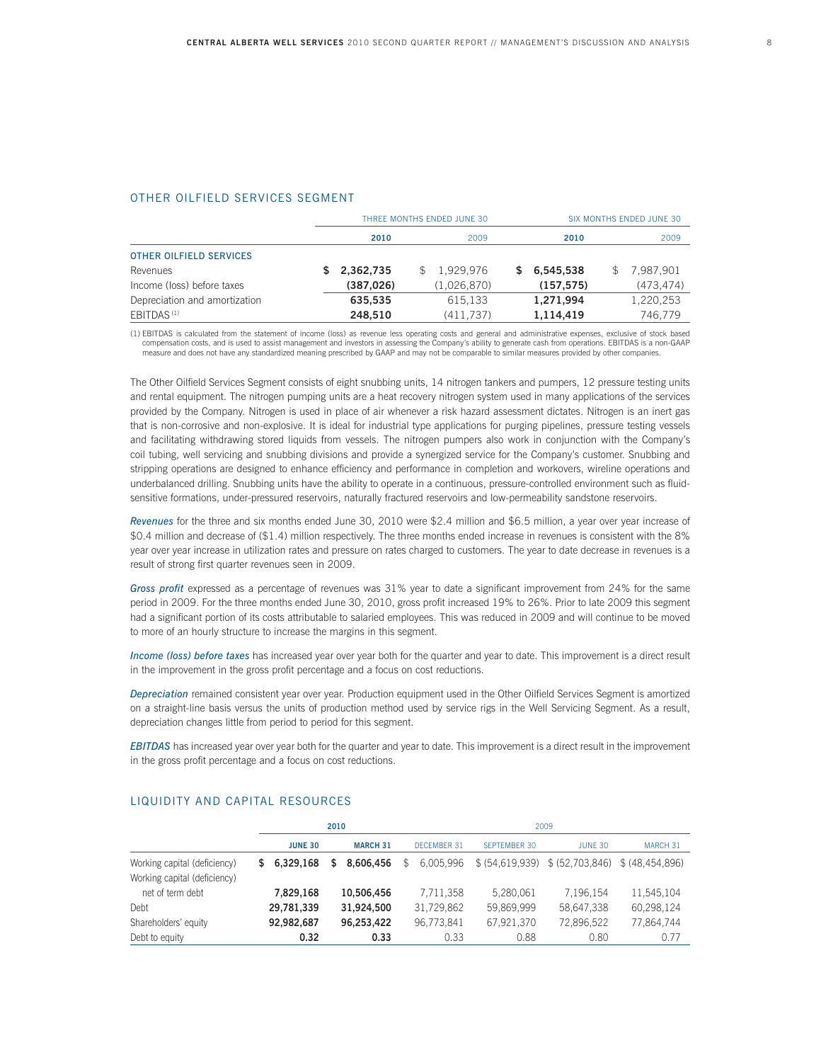#### OTHER OILFIELD SERVICES SEGMENT

|                                |            | THREE MONTHS ENDED JUNE 30 | SIX MONTHS ENDED JUNE 30 |            |     |           |  |
|--------------------------------|------------|----------------------------|--------------------------|------------|-----|-----------|--|
|                                | 2010       | 2009                       |                          | 2010       |     | 2009      |  |
| <b>OTHER OILFIELD SERVICES</b> |            |                            |                          |            |     |           |  |
| Revenues                       | 2.362.735  | 1.929.976                  | S.                       | 6.545.538  | \$. | 7.987.901 |  |
| Income (loss) before taxes     | (387, 026) | (1,026,870)                |                          | (157, 575) |     | (473.474) |  |
| Depreciation and amortization  | 635.535    | 615.133                    |                          | 1,271,994  |     | 1,220,253 |  |
| EBITDAS <sup>(1)</sup>         | 248.510    | (411,737)                  |                          | 1,114,419  |     | 746.779   |  |

(1) EBITDAS is calculated from the statement of income (loss) as revenue less operating costs and general and administrative expenses, exclusive of stock based compensation costs, and is used to assist management and investors in assessing the Company's ability to generate cash from operations. EBITDAS is a non-GAAP measure and does not have any standardized meaning prescribed by GAAP and may not be comparable to similar measures provided by other companies.

The Other Oilfield Services Segment consists of eight snubbing units, 14 nitrogen tankers and pumpers, 12 pressure testing units and rental equipment. The nitrogen pumping units are a heat recovery nitrogen system used in many applications of the services provided by the Company. Nitrogen is used in place of air whenever a risk hazard assessment dictates. Nitrogen is an inert gas that is non-corrosive and non-explosive. It is ideal for industrial type applications for purging pipelines, pressure testing vessels and facilitating withdrawing stored liquids from vessels. The nitrogen pumpers also work in conjunction with the Company's coil tubing, well servicing and snubbing divisions and provide a synergized service for the Company's customer. Snubbing and stripping operations are designed to enhance efficiency and performance in completion and workovers, wireline operations and underbalanced drilling. Snubbing units have the ability to operate in a continuous, pressure-controlled environment such as fluidsensitive formations, under-pressured reservoirs, naturally fractured reservoirs and low-permeability sandstone reservoirs.

*Revenues* for the three and six months ended June 30, 2010 were \$2.4 million and \$6.5 million, a year over year increase of \$0.4 million and decrease of (\$1.4) million respectively. The three months ended increase in revenues is consistent with the 8% year over year increase in utilization rates and pressure on rates charged to customers. The year to date decrease in revenues is a result of strong first quarter revenues seen in 2009.

*Gross profit* expressed as a percentage of revenues was 31% year to date a significant improvement from 24% for the same period in 2009. For the three months ended June 30, 2010, gross profit increased 19% to 26%. Prior to late 2009 this segment had a significant portion of its costs attributable to salaried employees. This was reduced in 2009 and will continue to be moved to more of an hourly structure to increase the margins in this segment.

*Income (loss) before taxes* has increased year over year both for the quarter and year to date. This improvement is a direct result in the improvement in the gross profit percentage and a focus on cost reductions.

*Depreciation* remained consistent year over year. Production equipment used in the Other Oilfield Services Segment is amortized on a straight-line basis versus the units of production method used by service rigs in the Well Servicing Segment. As a result, depreciation changes little from period to period for this segment.

*EBITDAS* has increased year over year both for the quarter and year to date. This improvement is a direct result in the improvement in the gross profit percentage and a focus on cost reductions.

|                                                              |                | 2010            | 2009               |                     |                                                    |            |  |  |  |
|--------------------------------------------------------------|----------------|-----------------|--------------------|---------------------|----------------------------------------------------|------------|--|--|--|
|                                                              | <b>JUNE 30</b> | <b>MARCH 31</b> | <b>DECEMBER 31</b> | <b>SEPTEMBER 30</b> | <b>JUNE 30</b>                                     | MARCH 31   |  |  |  |
| Working capital (deficiency)<br>Working capital (deficiency) | \$6.329.168    | 8.606.456<br>S. | 6.005.996<br>\$    |                     | $$$ (54,619,939) $$$ (52,703,846) $$$ (48,454,896) |            |  |  |  |
| net of term debt                                             | 7,829,168      | 10.506.456      | 7.711.358          | 5.280.061           | 7.196.154                                          | 11,545,104 |  |  |  |
| Debt                                                         | 29,781,339     | 31.924.500      | 31.729.862         | 59.869.999          | 58,647,338                                         | 60.298.124 |  |  |  |
| Shareholders' equity                                         | 92,982,687     | 96.253.422      | 96.773.841         | 67,921,370          | 72,896,522                                         | 77,864,744 |  |  |  |
| Debt to equity                                               | 0.32           | 0.33            | 0.33               | 0.88                | 0.80                                               | 0.77       |  |  |  |

#### LIQUIDITY AND CAPITAL RESOURCES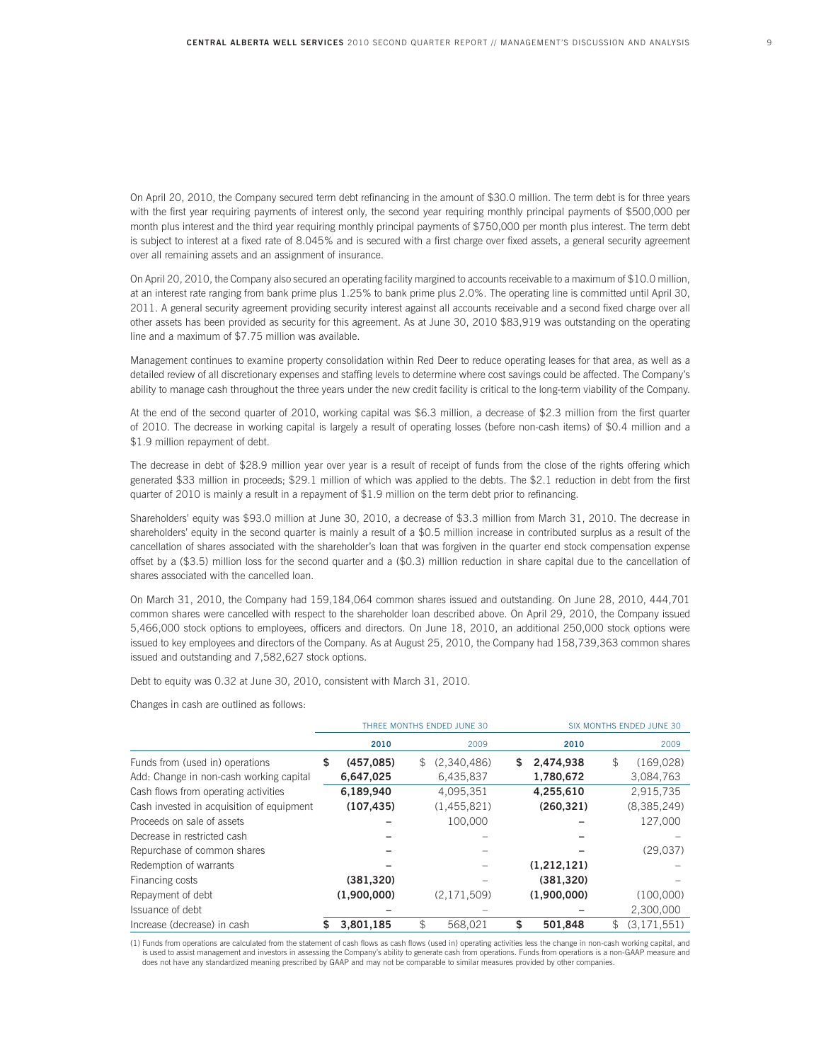On April 20, 2010, the Company secured term debt refinancing in the amount of \$30.0 million. The term debt is for three years with the first year requiring payments of interest only, the second year requiring monthly principal payments of \$500,000 per month plus interest and the third year requiring monthly principal payments of \$750,000 per month plus interest. The term debt is subject to interest at a fixed rate of 8.045% and is secured with a first charge over fixed assets, a general security agreement over all remaining assets and an assignment of insurance.

On April 20, 2010, the Company also secured an operating facility margined to accounts receivable to a maximum of \$10.0 million, at an interest rate ranging from bank prime plus 1.25% to bank prime plus 2.0%. The operating line is committed until April 30, 2011. A general security agreement providing security interest against all accounts receivable and a second fixed charge over all other assets has been provided as security for this agreement. As at June 30, 2010 \$83,919 was outstanding on the operating line and a maximum of \$7.75 million was available.

Management continues to examine property consolidation within Red Deer to reduce operating leases for that area, as well as a detailed review of all discretionary expenses and staffing levels to determine where cost savings could be affected. The Company's ability to manage cash throughout the three years under the new credit facility is critical to the long-term viability of the Company.

At the end of the second quarter of 2010, working capital was \$6.3 million, a decrease of \$2.3 million from the first quarter of 2010. The decrease in working capital is largely a result of operating losses (before non-cash items) of \$0.4 million and a \$1.9 million repayment of debt.

The decrease in debt of \$28.9 million year over year is a result of receipt of funds from the close of the rights offering which generated \$33 million in proceeds; \$29.1 million of which was applied to the debts. The \$2.1 reduction in debt from the first quarter of 2010 is mainly a result in a repayment of \$1.9 million on the term debt prior to refinancing.

Shareholders' equity was \$93.0 million at June 30, 2010, a decrease of \$3.3 million from March 31, 2010. The decrease in shareholders' equity in the second quarter is mainly a result of a \$0.5 million increase in contributed surplus as a result of the cancellation of shares associated with the shareholder's loan that was forgiven in the quarter end stock compensation expense offset by a (\$3.5) million loss for the second quarter and a (\$0.3) million reduction in share capital due to the cancellation of shares associated with the cancelled loan.

On March 31, 2010, the Company had 159,184,064 common shares issued and outstanding. On June 28, 2010, 444,701 common shares were cancelled with respect to the shareholder loan described above. On April 29, 2010, the Company issued 5,466,000 stock options to employees, officers and directors. On June 18, 2010, an additional 250,000 stock options were issued to key employees and directors of the Company. As at August 25, 2010, the Company had 158,739,363 common shares issued and outstanding and 7,582,627 stock options.

Debt to equity was 0.32 at June 30, 2010, consistent with March 31, 2010.

Changes in cash are outlined as follows:

|                                           |    |             | THREE MONTHS ENDED JUNE 30 | SIX MONTHS ENDED JUNE 30 |             |    |             |
|-------------------------------------------|----|-------------|----------------------------|--------------------------|-------------|----|-------------|
|                                           |    | 2010        | 2009                       |                          | 2010        |    | 2009        |
| Funds from (used in) operations           | \$ | (457,085)   | \$<br>(2,340,486)          | \$                       | 2,474,938   | \$ | (169, 028)  |
| Add: Change in non-cash working capital   |    | 6,647,025   | 6,435,837                  |                          | 1,780,672   |    | 3,084,763   |
| Cash flows from operating activities      |    | 6,189,940   | 4,095,351                  |                          | 4,255,610   |    | 2,915,735   |
| Cash invested in acquisition of equipment |    | (107, 435)  | (1,455,821)                |                          | (260, 321)  |    | (8,385,249) |
| Proceeds on sale of assets                |    |             | 100.000                    |                          |             |    | 127,000     |
| Decrease in restricted cash               |    |             |                            |                          |             |    |             |
| Repurchase of common shares               |    |             |                            |                          |             |    | (29,037)    |
| Redemption of warrants                    |    |             |                            |                          | (1,212,121) |    |             |
| Financing costs                           |    | (381, 320)  |                            |                          | (381, 320)  |    |             |
| Repayment of debt                         |    | (1,900,000) | (2,171,509)                |                          | (1,900,000) |    | (100,000)   |
| Issuance of debt                          |    |             |                            |                          |             |    | 2,300,000   |
| Increase (decrease) in cash               | S  | 3.801.185   | \$<br>568.021              | \$                       | 501.848     | \$ | (3.171.551) |

(1) Funds from operations are calculated from the statement of cash flows as cash flows (used in) operating activities less the change in non-cash working capital, and is used to assist management and investors in assessing the Company's ability to generate cash from operations. Funds from operations is a non-GAAP measure and does not have any standardized meaning prescribed by GAAP and may not be comparable to similar measures provided by other companies.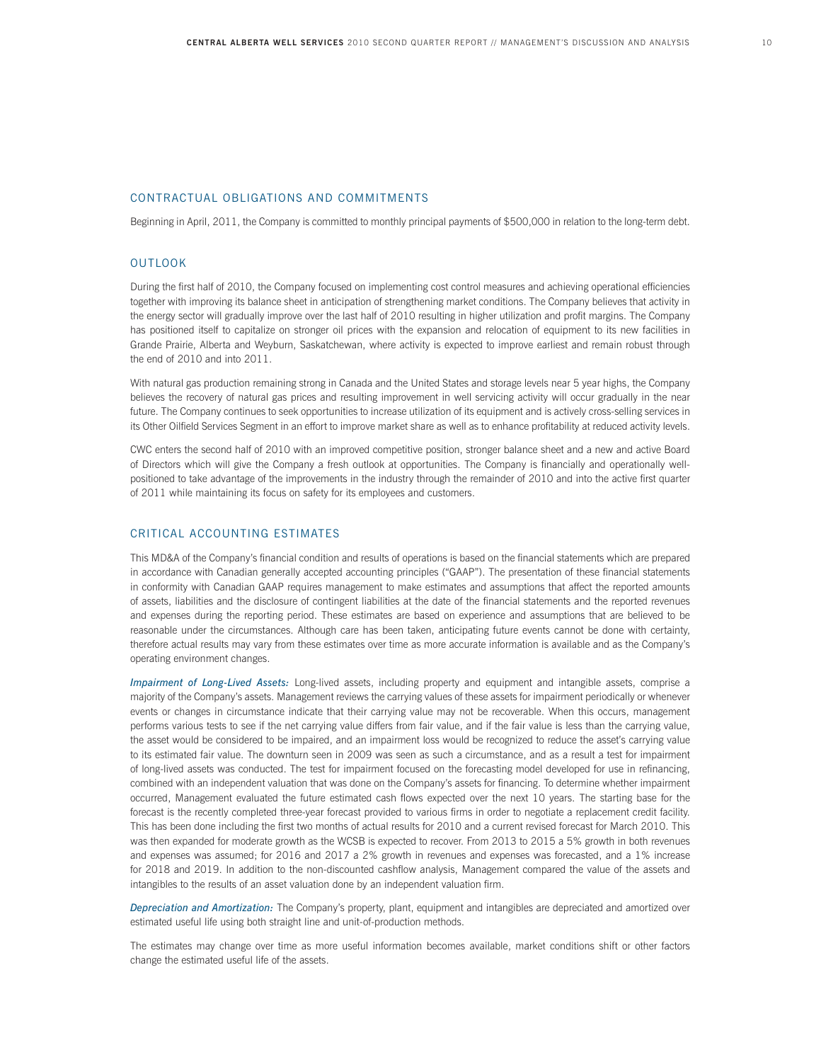### CONTRACTUAL OBLIGATIONS AND COMMITMENTS

Beginning in April, 2011, the Company is committed to monthly principal payments of \$500,000 in relation to the long-term debt.

### OUTLOOK

During the first half of 2010, the Company focused on implementing cost control measures and achieving operational efficiencies together with improving its balance sheet in anticipation of strengthening market conditions. The Company believes that activity in the energy sector will gradually improve over the last half of 2010 resulting in higher utilization and profit margins. The Company has positioned itself to capitalize on stronger oil prices with the expansion and relocation of equipment to its new facilities in Grande Prairie, Alberta and Weyburn, Saskatchewan, where activity is expected to improve earliest and remain robust through the end of 2010 and into 2011.

With natural gas production remaining strong in Canada and the United States and storage levels near 5 year highs, the Company believes the recovery of natural gas prices and resulting improvement in well servicing activity will occur gradually in the near future. The Company continues to seek opportunities to increase utilization of its equipment and is actively cross-selling services in its Other Oilfield Services Segment in an effort to improve market share as well as to enhance profitability at reduced activity levels.

CWC enters the second half of 2010 with an improved competitive position, stronger balance sheet and a new and active Board of Directors which will give the Company a fresh outlook at opportunities. The Company is financially and operationally wellpositioned to take advantage of the improvements in the industry through the remainder of 2010 and into the active first quarter of 2011 while maintaining its focus on safety for its employees and customers.

#### CRITICAL ACCOUNTING ESTIMATES

This MD&A of the Company's financial condition and results of operations is based on the financial statements which are prepared in accordance with Canadian generally accepted accounting principles ("GAAP"). The presentation of these financial statements in conformity with Canadian GAAP requires management to make estimates and assumptions that affect the reported amounts of assets, liabilities and the disclosure of contingent liabilities at the date of the financial statements and the reported revenues and expenses during the reporting period. These estimates are based on experience and assumptions that are believed to be reasonable under the circumstances. Although care has been taken, anticipating future events cannot be done with certainty, therefore actual results may vary from these estimates over time as more accurate information is available and as the Company's operating environment changes.

*Impairment of Long-Lived Assets:* Long-lived assets, including property and equipment and intangible assets, comprise a majority of the Company's assets. Management reviews the carrying values of these assets for impairment periodically or whenever events or changes in circumstance indicate that their carrying value may not be recoverable. When this occurs, management performs various tests to see if the net carrying value differs from fair value, and if the fair value is less than the carrying value, the asset would be considered to be impaired, and an impairment loss would be recognized to reduce the asset's carrying value to its estimated fair value. The downturn seen in 2009 was seen as such a circumstance, and as a result a test for impairment of long-lived assets was conducted. The test for impairment focused on the forecasting model developed for use in refinancing, combined with an independent valuation that was done on the Company's assets for financing. To determine whether impairment occurred, Management evaluated the future estimated cash flows expected over the next 10 years. The starting base for the forecast is the recently completed three-year forecast provided to various firms in order to negotiate a replacement credit facility. This has been done including the first two months of actual results for 2010 and a current revised forecast for March 2010. This was then expanded for moderate growth as the WCSB is expected to recover. From 2013 to 2015 a 5% growth in both revenues and expenses was assumed; for 2016 and 2017 a 2% growth in revenues and expenses was forecasted, and a 1% increase for 2018 and 2019. In addition to the non-discounted cashflow analysis, Management compared the value of the assets and intangibles to the results of an asset valuation done by an independent valuation firm.

*Depreciation and Amortization:* The Company's property, plant, equipment and intangibles are depreciated and amortized over estimated useful life using both straight line and unit-of-production methods.

The estimates may change over time as more useful information becomes available, market conditions shift or other factors change the estimated useful life of the assets.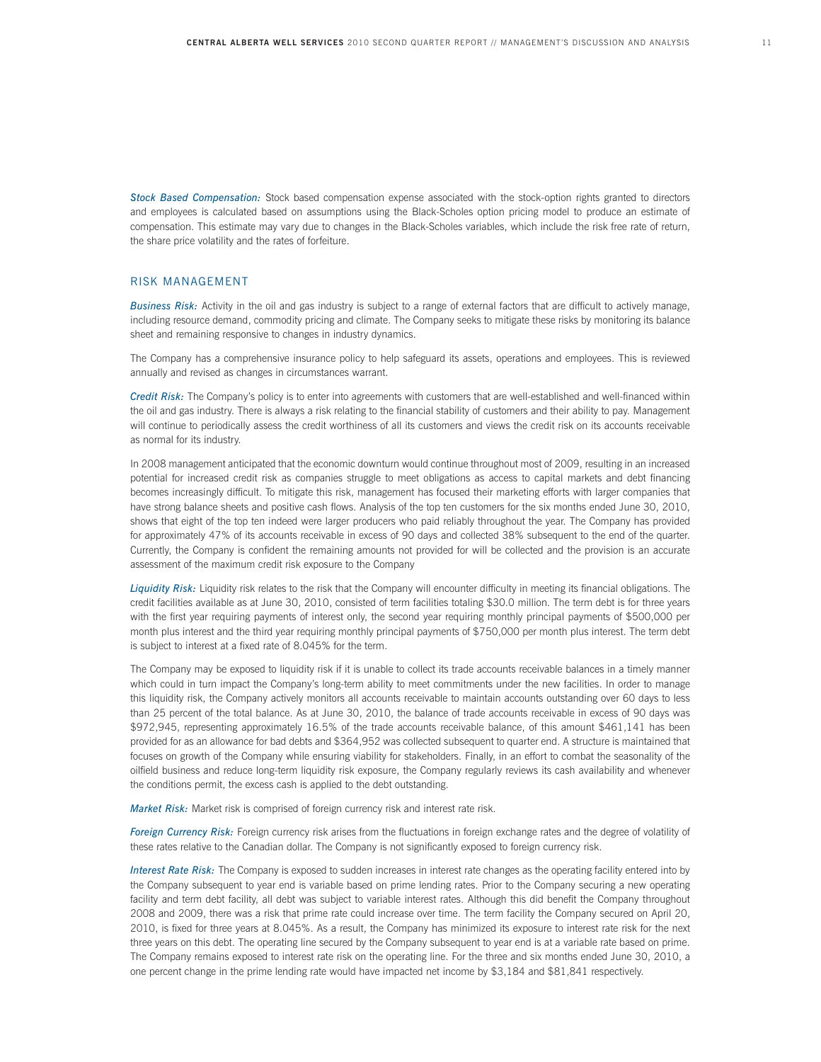*Stock Based Compensation:* Stock based compensation expense associated with the stock-option rights granted to directors and employees is calculated based on assumptions using the Black-Scholes option pricing model to produce an estimate of compensation. This estimate may vary due to changes in the Black-Scholes variables, which include the risk free rate of return, the share price volatility and the rates of forfeiture.

#### RISK MANAGEMENT

*Business Risk:* Activity in the oil and gas industry is subject to a range of external factors that are difficult to actively manage, including resource demand, commodity pricing and climate. The Company seeks to mitigate these risks by monitoring its balance sheet and remaining responsive to changes in industry dynamics.

The Company has a comprehensive insurance policy to help safeguard its assets, operations and employees. This is reviewed annually and revised as changes in circumstances warrant.

*Credit Risk:* The Company's policy is to enter into agreements with customers that are well-established and well-financed within the oil and gas industry. There is always a risk relating to the financial stability of customers and their ability to pay. Management will continue to periodically assess the credit worthiness of all its customers and views the credit risk on its accounts receivable as normal for its industry.

In 2008 management anticipated that the economic downturn would continue throughout most of 2009, resulting in an increased potential for increased credit risk as companies struggle to meet obligations as access to capital markets and debt financing becomes increasingly difficult. To mitigate this risk, management has focused their marketing efforts with larger companies that have strong balance sheets and positive cash flows. Analysis of the top ten customers for the six months ended June 30, 2010, shows that eight of the top ten indeed were larger producers who paid reliably throughout the year. The Company has provided for approximately 47% of its accounts receivable in excess of 90 days and collected 38% subsequent to the end of the quarter. Currently, the Company is confident the remaining amounts not provided for will be collected and the provision is an accurate assessment of the maximum credit risk exposure to the Company

*Liquidity Risk:* Liquidity risk relates to the risk that the Company will encounter difficulty in meeting its financial obligations. The credit facilities available as at June 30, 2010, consisted of term facilities totaling \$30.0 million. The term debt is for three years with the first year requiring payments of interest only, the second year requiring monthly principal payments of \$500,000 per month plus interest and the third year requiring monthly principal payments of \$750,000 per month plus interest. The term debt is subject to interest at a fixed rate of 8.045% for the term.

The Company may be exposed to liquidity risk if it is unable to collect its trade accounts receivable balances in a timely manner which could in turn impact the Company's long-term ability to meet commitments under the new facilities. In order to manage this liquidity risk, the Company actively monitors all accounts receivable to maintain accounts outstanding over 60 days to less than 25 percent of the total balance. As at June 30, 2010, the balance of trade accounts receivable in excess of 90 days was \$972,945, representing approximately 16.5% of the trade accounts receivable balance, of this amount \$461,141 has been provided for as an allowance for bad debts and \$364,952 was collected subsequent to quarter end. A structure is maintained that focuses on growth of the Company while ensuring viability for stakeholders. Finally, in an effort to combat the seasonality of the oilfield business and reduce long-term liquidity risk exposure, the Company regularly reviews its cash availability and whenever the conditions permit, the excess cash is applied to the debt outstanding.

*Market Risk:* Market risk is comprised of foreign currency risk and interest rate risk.

*Foreign Currency Risk:* Foreign currency risk arises from the fluctuations in foreign exchange rates and the degree of volatility of these rates relative to the Canadian dollar. The Company is not significantly exposed to foreign currency risk.

*Interest Rate Risk:* The Company is exposed to sudden increases in interest rate changes as the operating facility entered into by the Company subsequent to year end is variable based on prime lending rates. Prior to the Company securing a new operating facility and term debt facility, all debt was subject to variable interest rates. Although this did benefit the Company throughout 2008 and 2009, there was a risk that prime rate could increase over time. The term facility the Company secured on April 20, 2010, is fixed for three years at 8.045%. As a result, the Company has minimized its exposure to interest rate risk for the next three years on this debt. The operating line secured by the Company subsequent to year end is at a variable rate based on prime. The Company remains exposed to interest rate risk on the operating line. For the three and six months ended June 30, 2010, a one percent change in the prime lending rate would have impacted net income by \$3,184 and \$81,841 respectively.